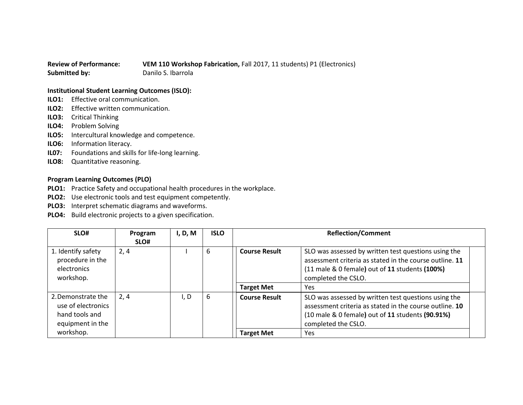## **Review of Performance: VEM 110 Workshop Fabrication,** Fall 2017, 11 students) P1 (Electronics) **Submitted by:** Danilo S. Ibarrola

## **Institutional Student Learning Outcomes (ISLO):**

- **ILO1:** Effective oral communication.
- **ILO2:** Effective written communication.
- **ILO3:** Critical Thinking
- **ILO4:** Problem Solving
- **ILO5:** Intercultural knowledge and competence.
- **ILO6:** Information literacy.
- **IL07:** Foundations and skills for life-long learning.
- **ILO8:** Quantitative reasoning.

## **Program Learning Outcomes (PLO)**

- **PLO1:** Practice Safety and occupational health procedures in the workplace.
- **PLO2:** Use electronic tools and test equipment competently.
- **PLO3:** Interpret schematic diagrams and waveforms.
- **PLO4:** Build electronic projects to a given specification.

| SLO#                                                                           | Program<br>SLO# | I, D, M | <b>ISLO</b> | <b>Reflection/Comment</b> |                                                                                                                                                                                            |
|--------------------------------------------------------------------------------|-----------------|---------|-------------|---------------------------|--------------------------------------------------------------------------------------------------------------------------------------------------------------------------------------------|
| 1. Identify safety<br>procedure in the<br>electronics<br>workshop.             | 2, 4            |         | 6           | <b>Course Result</b>      | SLO was assessed by written test questions using the<br>assessment criteria as stated in the course outline. 11<br>(11 male & 0 female) out of 11 students (100%)<br>completed the CSLO.   |
|                                                                                |                 |         |             | <b>Target Met</b>         | Yes                                                                                                                                                                                        |
| 2. Demonstrate the<br>use of electronics<br>hand tools and<br>equipment in the | 2,4             | I, D    | 6           | <b>Course Result</b>      | SLO was assessed by written test questions using the<br>assessment criteria as stated in the course outline. 10<br>(10 male & 0 female) out of 11 students (90.91%)<br>completed the CSLO. |
| workshop.                                                                      |                 |         |             | <b>Target Met</b>         | Yes                                                                                                                                                                                        |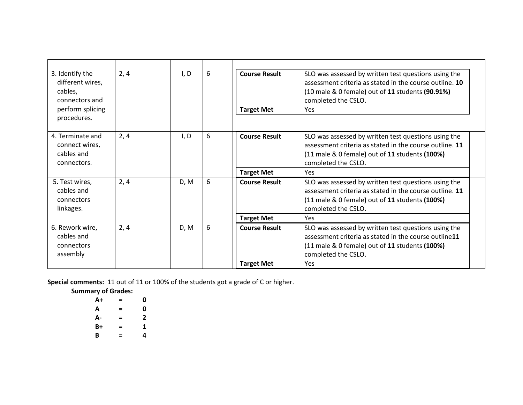| 3. Identify the<br>different wires,<br>cables,<br>connectors and | 2, 4 | I, D | 6 | <b>Course Result</b> | SLO was assessed by written test questions using the<br>assessment criteria as stated in the course outline. 10<br>(10 male & 0 female) out of 11 students (90.91%)<br>completed the CSLO.   |
|------------------------------------------------------------------|------|------|---|----------------------|----------------------------------------------------------------------------------------------------------------------------------------------------------------------------------------------|
| perform splicing                                                 |      |      |   | <b>Target Met</b>    | Yes                                                                                                                                                                                          |
| procedures.                                                      |      |      |   |                      |                                                                                                                                                                                              |
| 4. Terminate and<br>connect wires,<br>cables and<br>connectors.  | 2, 4 | I, D | 6 | <b>Course Result</b> | SLO was assessed by written test questions using the<br>assessment criteria as stated in the course outline. 11<br>(11 male & 0 female) out of 11 students (100%)<br>completed the CSLO.     |
|                                                                  |      |      |   | <b>Target Met</b>    | Yes                                                                                                                                                                                          |
| 5. Test wires,<br>cables and<br>connectors<br>linkages.          | 2, 4 | D, M | 6 | <b>Course Result</b> | SLO was assessed by written test questions using the<br>assessment criteria as stated in the course outline. 11<br>$(11$ male & 0 female) out of 11 students $(100%)$<br>completed the CSLO. |
|                                                                  |      |      |   | <b>Target Met</b>    | Yes                                                                                                                                                                                          |
| 6. Rework wire,<br>cables and<br>connectors<br>assembly          | 2, 4 | D, M | 6 | <b>Course Result</b> | SLO was assessed by written test questions using the<br>assessment criteria as stated in the course outline11<br>$(11$ male & 0 female) out of 11 students $(100%)$<br>completed the CSLO.   |
|                                                                  |      |      |   | <b>Target Met</b>    | Yes                                                                                                                                                                                          |

**Special comments:** 11 out of 11 or 100% of the students got a grade of C or higher.

**Summary of Grades:**

| $A+$ | = | 0 |
|------|---|---|
| А    | = | 0 |
| А-   | = | 2 |
| B+   | = | 1 |
| B    | = | 4 |